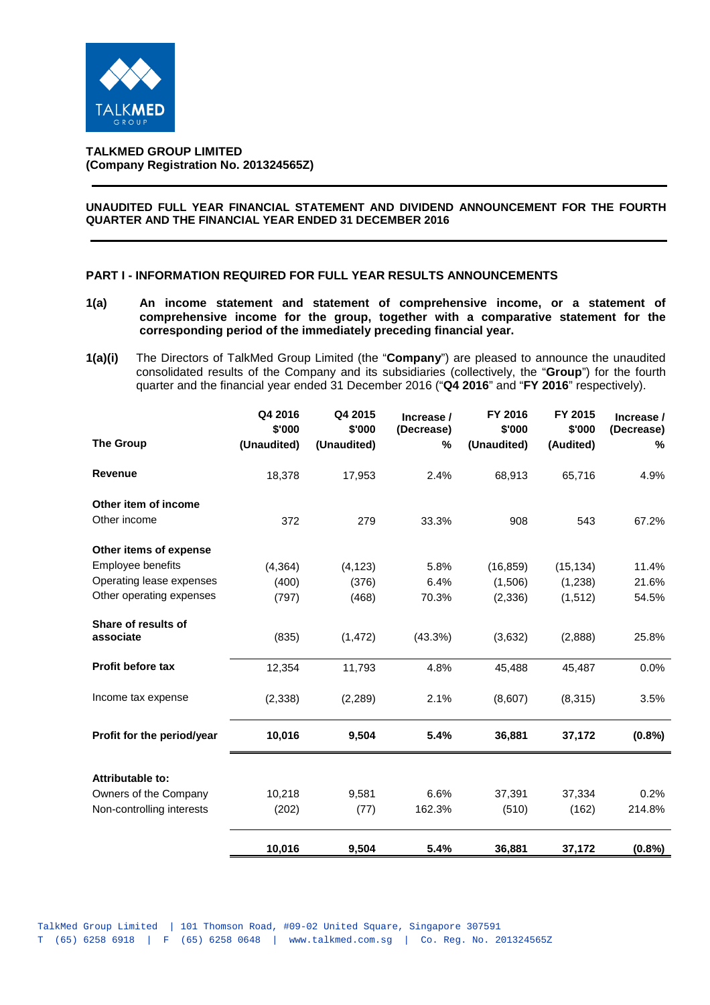

**TALKMED GROUP LIMITED (Company Registration No. 201324565Z)**

## **UNAUDITED FULL YEAR FINANCIAL STATEMENT AND DIVIDEND ANNOUNCEMENT FOR THE FOURTH QUARTER AND THE FINANCIAL YEAR ENDED 31 DECEMBER 2016**

### **PART I - INFORMATION REQUIRED FOR FULL YEAR RESULTS ANNOUNCEMENTS**

- **1(a) An income statement and statement of comprehensive income, or a statement of comprehensive income for the group, together with a comparative statement for the corresponding period of the immediately preceding financial year.**
- **1(a)(i)** The Directors of TalkMed Group Limited (the "**Company**") are pleased to announce the unaudited consolidated results of the Company and its subsidiaries (collectively, the "**Group**") for the fourth quarter and the financial year ended 31 December 2016 ("**Q4 2016**" and "**FY 2016**" respectively).

| <b>The Group</b>                 | Q4 2016<br>\$'000<br>(Unaudited) | Q4 2015<br>\$'000<br>(Unaudited) | Increase /<br>(Decrease)<br>$\frac{0}{0}$ | FY 2016<br>\$'000<br>(Unaudited) | FY 2015<br>\$'000<br>(Audited) | Increase /<br>(Decrease)<br>℅ |
|----------------------------------|----------------------------------|----------------------------------|-------------------------------------------|----------------------------------|--------------------------------|-------------------------------|
| Revenue                          | 18,378                           | 17,953                           | 2.4%                                      | 68,913                           | 65,716                         | 4.9%                          |
| Other item of income             |                                  |                                  |                                           |                                  |                                |                               |
| Other income                     | 372                              | 279                              | 33.3%                                     | 908                              | 543                            | 67.2%                         |
| Other items of expense           |                                  |                                  |                                           |                                  |                                |                               |
| Employee benefits                | (4, 364)                         | (4, 123)                         | 5.8%                                      | (16, 859)                        | (15, 134)                      | 11.4%                         |
| Operating lease expenses         | (400)                            | (376)                            | 6.4%                                      | (1,506)                          | (1,238)                        | 21.6%                         |
| Other operating expenses         | (797)                            | (468)                            | 70.3%                                     | (2, 336)                         | (1,512)                        | 54.5%                         |
| Share of results of<br>associate | (835)                            | (1, 472)                         | (43.3%)                                   | (3,632)                          | (2,888)                        | 25.8%                         |
|                                  |                                  |                                  |                                           |                                  |                                |                               |
| <b>Profit before tax</b>         | 12,354                           | 11,793                           | 4.8%                                      | 45,488                           | 45,487                         | 0.0%                          |
| Income tax expense               | (2,338)                          | (2,289)                          | 2.1%                                      | (8,607)                          | (8,315)                        | 3.5%                          |
| Profit for the period/year       | 10,016                           | 9,504                            | 5.4%                                      | 36,881                           | 37,172                         | (0.8% )                       |
| Attributable to:                 |                                  |                                  |                                           |                                  |                                |                               |
| Owners of the Company            | 10,218                           | 9,581                            | 6.6%                                      | 37,391                           | 37,334                         | 0.2%                          |
| Non-controlling interests        | (202)                            | (77)                             | 162.3%                                    | (510)                            | (162)                          | 214.8%                        |
|                                  | 10,016                           | 9,504                            | 5.4%                                      | 36,881                           | 37,172                         | (0.8%)                        |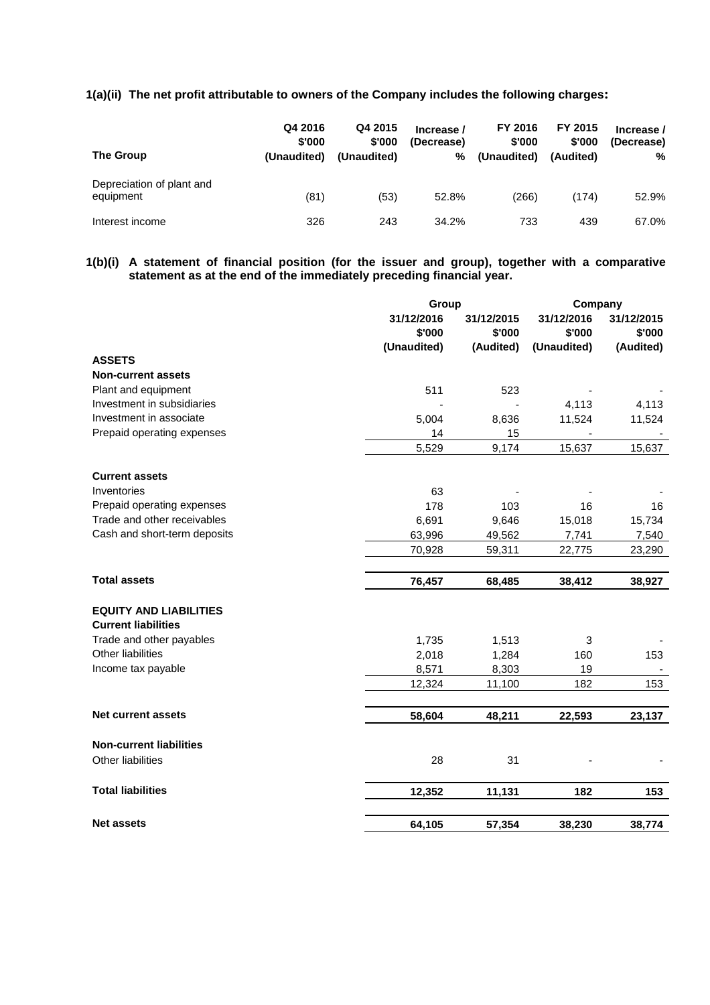# **1(a)(ii) The net profit attributable to owners of the Company includes the following charges:**

| The Group                              | Q4 2016<br>\$'000<br>(Unaudited) | Q4 2015<br>\$'000<br>(Unaudited) | Increase /<br>(Decrease)<br>% | FY 2016<br>\$'000<br>(Unaudited) | FY 2015<br>\$'000<br>(Audited) | Increase /<br>(Decrease)<br>% |
|----------------------------------------|----------------------------------|----------------------------------|-------------------------------|----------------------------------|--------------------------------|-------------------------------|
| Depreciation of plant and<br>equipment | (81)                             | (53)                             | 52.8%                         | (266)                            | (174)                          | 52.9%                         |
| Interest income                        | 326                              | 243                              | 34.2%                         | 733                              | 439                            | 67.0%                         |

**1(b)(i) A statement of financial position (for the issuer and group), together with a comparative statement as at the end of the immediately preceding financial year.**

|                                | Group       |            | Company     |            |
|--------------------------------|-------------|------------|-------------|------------|
|                                | 31/12/2016  | 31/12/2015 | 31/12/2016  | 31/12/2015 |
|                                | \$'000      | \$'000     | \$'000      | \$'000     |
|                                | (Unaudited) | (Audited)  | (Unaudited) | (Audited)  |
| <b>ASSETS</b>                  |             |            |             |            |
| <b>Non-current assets</b>      |             |            |             |            |
| Plant and equipment            | 511         | 523        |             |            |
| Investment in subsidiaries     |             |            | 4,113       | 4,113      |
| Investment in associate        | 5,004       | 8,636      | 11,524      | 11,524     |
| Prepaid operating expenses     | 14          | 15         |             |            |
|                                | 5,529       | 9,174      | 15,637      | 15,637     |
|                                |             |            |             |            |
| <b>Current assets</b>          |             |            |             |            |
| Inventories                    | 63          |            |             |            |
| Prepaid operating expenses     | 178         | 103        | 16          | 16         |
| Trade and other receivables    | 6,691       | 9,646      | 15,018      | 15,734     |
| Cash and short-term deposits   | 63,996      | 49,562     | 7,741       | 7,540      |
|                                | 70,928      | 59,311     | 22,775      | 23,290     |
| <b>Total assets</b>            | 76,457      | 68,485     | 38,412      | 38,927     |
| <b>EQUITY AND LIABILITIES</b>  |             |            |             |            |
| <b>Current liabilities</b>     |             |            |             |            |
| Trade and other payables       | 1,735       | 1,513      | 3           |            |
| Other liabilities              | 2,018       | 1,284      | 160         | 153        |
| Income tax payable             | 8,571       | 8,303      | 19          |            |
|                                | 12,324      | 11,100     | 182         | 153        |
|                                |             |            |             |            |
| <b>Net current assets</b>      | 58,604      | 48,211     | 22,593      | 23,137     |
| <b>Non-current liabilities</b> |             |            |             |            |
| Other liabilities              | 28          | 31         |             |            |
|                                |             |            |             |            |
| <b>Total liabilities</b>       | 12,352      | 11,131     | 182         | 153        |
| <b>Net assets</b>              | 64,105      | 57,354     | 38,230      | 38,774     |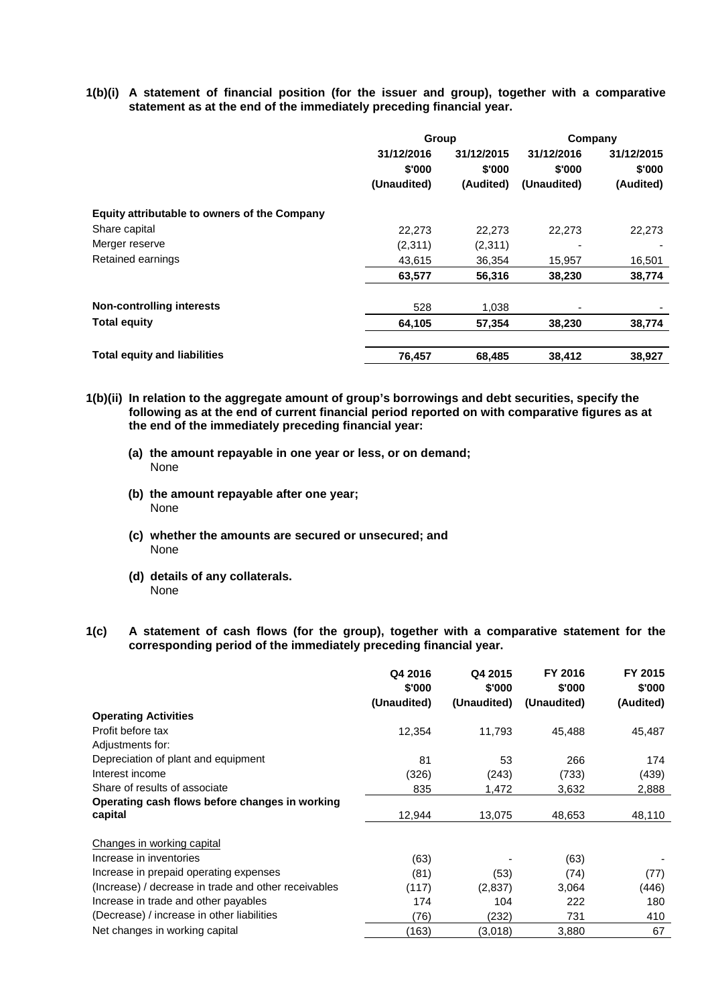**1(b)(i) A statement of financial position (for the issuer and group), together with a comparative statement as at the end of the immediately preceding financial year.**

|                                              | Group                |                      | Company              |                      |
|----------------------------------------------|----------------------|----------------------|----------------------|----------------------|
|                                              | 31/12/2016<br>\$'000 | 31/12/2015<br>\$'000 | 31/12/2016<br>\$'000 | 31/12/2015<br>\$'000 |
|                                              | (Unaudited)          | (Audited)            | (Unaudited)          | (Audited)            |
| Equity attributable to owners of the Company |                      |                      |                      |                      |
| Share capital                                | 22,273               | 22,273               | 22,273               | 22,273               |
| Merger reserve                               | (2,311)              | (2,311)              |                      |                      |
| Retained earnings                            | 43,615               | 36.354               | 15,957               | 16,501               |
|                                              | 63,577               | 56,316               | 38,230               | 38,774               |
| <b>Non-controlling interests</b>             | 528                  | 1,038                |                      |                      |
| <b>Total equity</b>                          | 64,105               | 57,354               | 38,230               | 38,774               |
| <b>Total equity and liabilities</b>          | 76,457               | 68,485               | 38,412               | 38,927               |

- **1(b)(ii) In relation to the aggregate amount of group's borrowings and debt securities, specify the following as at the end of current financial period reported on with comparative figures as at the end of the immediately preceding financial year:**
	- **(a) the amount repayable in one year or less, or on demand;** None
	- **(b) the amount repayable after one year;** None
	- **(c) whether the amounts are secured or unsecured; and** None
	- **(d) details of any collaterals.** None
- **1(c) A statement of cash flows (for the group), together with a comparative statement for the corresponding period of the immediately preceding financial year.**

|                                                      | Q4 2016<br>\$'000 | Q4 2015<br>\$'000 | FY 2016<br>\$'000 | FY 2015<br>\$'000 |
|------------------------------------------------------|-------------------|-------------------|-------------------|-------------------|
|                                                      | (Unaudited)       | (Unaudited)       | (Unaudited)       | (Audited)         |
| <b>Operating Activities</b>                          |                   |                   |                   |                   |
| Profit before tax                                    | 12,354            | 11,793            | 45,488            | 45,487            |
| Adjustments for:                                     |                   |                   |                   |                   |
| Depreciation of plant and equipment                  | 81                | 53                | 266               | 174               |
| Interest income                                      | (326)             | (243)             | (733)             | (439)             |
| Share of results of associate                        | 835               | 1,472             | 3,632             | 2,888             |
| Operating cash flows before changes in working       |                   |                   |                   |                   |
| capital                                              | 12,944            | 13,075            | 48,653            | 48,110            |
| Changes in working capital                           |                   |                   |                   |                   |
| Increase in inventories                              | (63)              |                   | (63)              |                   |
| Increase in prepaid operating expenses               | (81)              | (53)              | (74)              | (77)              |
| (Increase) / decrease in trade and other receivables | (117)             | (2,837)           | 3,064             | (446)             |
| Increase in trade and other payables                 | 174               | 104               | 222               | 180               |
| (Decrease) / increase in other liabilities           | (76)              | (232)             | 731               | 410               |
| Net changes in working capital                       | (163)             | (3,018)           | 3,880             | 67                |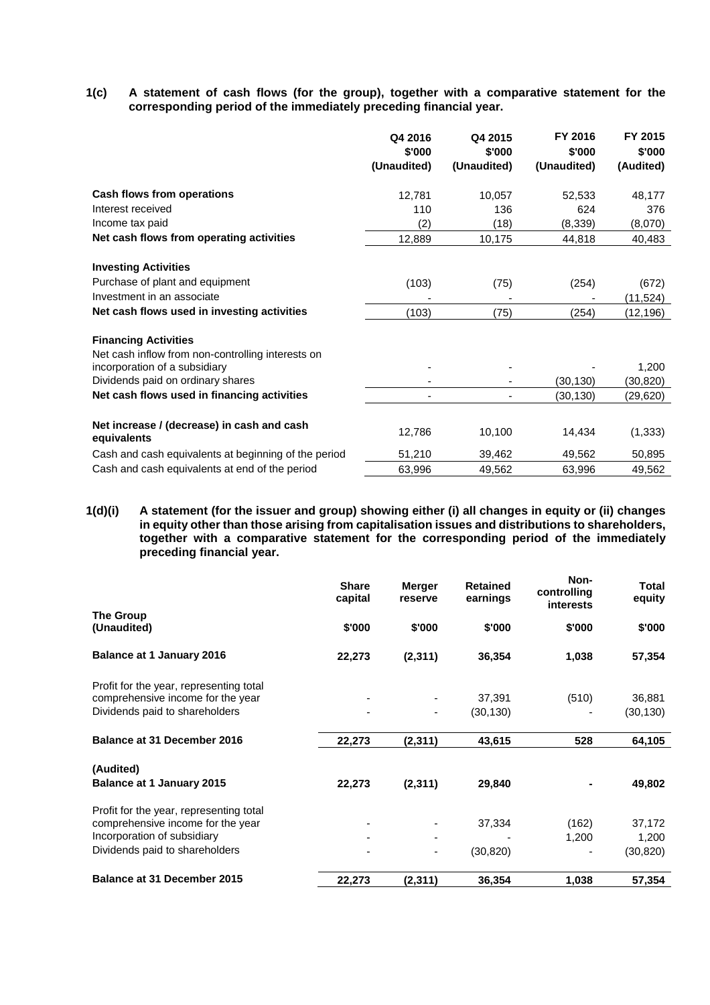**1(c) A statement of cash flows (for the group), together with a comparative statement for the corresponding period of the immediately preceding financial year.**

|                                                                                    | Q4 2016<br>\$'000<br>(Unaudited) | Q4 2015<br>\$'000<br>(Unaudited) | FY 2016<br>\$'000<br>(Unaudited) | FY 2015<br>\$'000<br>(Audited) |
|------------------------------------------------------------------------------------|----------------------------------|----------------------------------|----------------------------------|--------------------------------|
| Cash flows from operations                                                         | 12,781                           | 10,057                           | 52,533                           | 48,177                         |
| Interest received                                                                  | 110                              | 136                              | 624                              | 376                            |
| Income tax paid                                                                    | (2)                              | (18)                             | (8,339)                          | (8,070)                        |
| Net cash flows from operating activities                                           | 12,889                           | 10,175                           | 44,818                           | 40,483                         |
| <b>Investing Activities</b>                                                        |                                  |                                  |                                  |                                |
| Purchase of plant and equipment                                                    | (103)                            | (75)                             | (254)                            | (672)                          |
| Investment in an associate                                                         |                                  |                                  |                                  | (11,524)                       |
| Net cash flows used in investing activities                                        | (103)                            | (75)                             | (254)                            | (12,196)                       |
| <b>Financing Activities</b>                                                        |                                  |                                  |                                  |                                |
| Net cash inflow from non-controlling interests on<br>incorporation of a subsidiary |                                  |                                  |                                  | 1,200                          |
| Dividends paid on ordinary shares                                                  |                                  |                                  | (30,130)                         | (30,820)                       |
| Net cash flows used in financing activities                                        |                                  |                                  | (30, 130)                        | (29,620)                       |
| Net increase / (decrease) in cash and cash<br>equivalents                          | 12,786                           | 10,100                           | 14,434                           | (1, 333)                       |
| Cash and cash equivalents at beginning of the period                               | 51,210                           | 39,462                           | 49,562                           | 50,895                         |
| Cash and cash equivalents at end of the period                                     | 63,996                           | 49.562                           | 63,996                           | 49.562                         |

**1(d)(i) A statement (for the issuer and group) showing either (i) all changes in equity or (ii) changes in equity other than those arising from capitalisation issues and distributions to shareholders, together with a comparative statement for the corresponding period of the immediately preceding financial year.**

|                                         | <b>Share</b><br>capital | <b>Merger</b><br>reserve | <b>Retained</b><br>earnings | Non-<br>controlling<br><b>interests</b> | Total<br>equity |
|-----------------------------------------|-------------------------|--------------------------|-----------------------------|-----------------------------------------|-----------------|
| The Group<br>(Unaudited)                | \$'000                  | \$'000                   | \$'000                      | \$'000                                  | \$'000          |
| <b>Balance at 1 January 2016</b>        | 22,273                  | (2, 311)                 | 36,354                      | 1,038                                   | 57,354          |
| Profit for the year, representing total |                         |                          |                             |                                         |                 |
| comprehensive income for the year       |                         |                          | 37,391                      | (510)                                   | 36,881          |
| Dividends paid to shareholders          |                         |                          | (30, 130)                   |                                         | (30, 130)       |
| <b>Balance at 31 December 2016</b>      | 22,273                  | (2, 311)                 | 43,615                      | 528                                     | 64,105          |
| (Audited)                               |                         |                          |                             |                                         |                 |
| <b>Balance at 1 January 2015</b>        | 22,273                  | (2, 311)                 | 29,840                      |                                         | 49,802          |
| Profit for the year, representing total |                         |                          |                             |                                         |                 |
| comprehensive income for the year       |                         |                          | 37,334                      | (162)                                   | 37,172          |
| Incorporation of subsidiary             |                         |                          |                             | 1,200                                   | 1,200           |
| Dividends paid to shareholders          |                         | ٠                        | (30, 820)                   |                                         | (30, 820)       |
| Balance at 31 December 2015             | 22,273                  | (2, 311)                 | 36,354                      | 1,038                                   | 57,354          |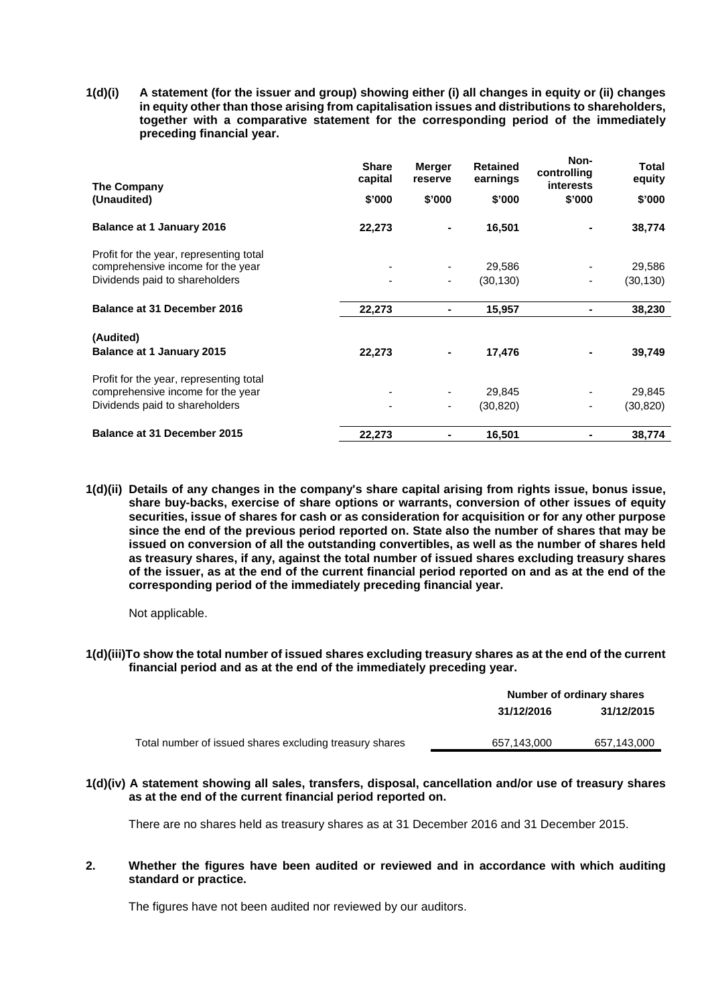**1(d)(i) A statement (for the issuer and group) showing either (i) all changes in equity or (ii) changes in equity other than those arising from capitalisation issues and distributions to shareholders, together with a comparative statement for the corresponding period of the immediately preceding financial year.**

| The Company                             | <b>Share</b><br>capital | <b>Merger</b><br>reserve | <b>Retained</b><br>earnings | Non-<br>controlling<br>interests | Total<br>equity |
|-----------------------------------------|-------------------------|--------------------------|-----------------------------|----------------------------------|-----------------|
| (Unaudited)                             | \$'000                  | \$'000                   | \$'000                      | \$'000                           | \$'000          |
| <b>Balance at 1 January 2016</b>        | 22,273                  |                          | 16,501                      |                                  | 38,774          |
| Profit for the year, representing total |                         |                          |                             |                                  |                 |
| comprehensive income for the year       |                         |                          | 29,586                      |                                  | 29,586          |
| Dividends paid to shareholders          | ۰                       |                          | (30, 130)                   |                                  | (30, 130)       |
| <b>Balance at 31 December 2016</b>      | 22,273                  | ۰                        | 15,957                      |                                  | 38,230          |
| (Audited)                               |                         |                          |                             |                                  |                 |
| <b>Balance at 1 January 2015</b>        | 22,273                  |                          | 17,476                      |                                  | 39,749          |
| Profit for the year, representing total |                         |                          |                             |                                  |                 |
| comprehensive income for the year       |                         |                          | 29,845                      |                                  | 29,845          |
| Dividends paid to shareholders          | ۰                       | -                        | (30, 820)                   |                                  | (30, 820)       |
| <b>Balance at 31 December 2015</b>      | 22,273                  |                          | 16,501                      |                                  | 38,774          |

**1(d)(ii) Details of any changes in the company's share capital arising from rights issue, bonus issue, share buy-backs, exercise of share options or warrants, conversion of other issues of equity securities, issue of shares for cash or as consideration for acquisition or for any other purpose since the end of the previous period reported on. State also the number of shares that may be issued on conversion of all the outstanding convertibles, as well as the number of shares held as treasury shares, if any, against the total number of issued shares excluding treasury shares of the issuer, as at the end of the current financial period reported on and as at the end of the corresponding period of the immediately preceding financial year.**

Not applicable.

**1(d)(iii)To show the total number of issued shares excluding treasury shares as at the end of the current financial period and as at the end of the immediately preceding year.**

|                                                         |             | Number of ordinary shares |
|---------------------------------------------------------|-------------|---------------------------|
|                                                         | 31/12/2016  | 31/12/2015                |
| Total number of issued shares excluding treasury shares | 657,143,000 | 657,143,000               |

### **1(d)(iv) A statement showing all sales, transfers, disposal, cancellation and/or use of treasury shares as at the end of the current financial period reported on.**

There are no shares held as treasury shares as at 31 December 2016 and 31 December 2015.

### **2. Whether the figures have been audited or reviewed and in accordance with which auditing standard or practice.**

The figures have not been audited nor reviewed by our auditors.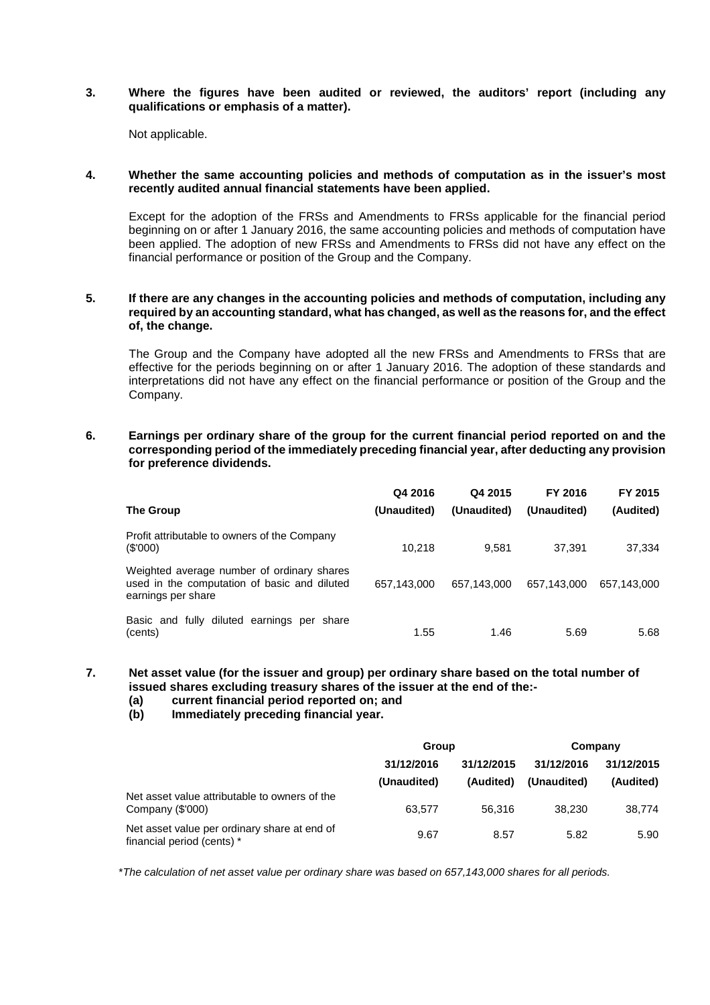## **3. Where the figures have been audited or reviewed, the auditors' report (including any qualifications or emphasis of a matter).**

Not applicable.

### **4. Whether the same accounting policies and methods of computation as in the issuer's most recently audited annual financial statements have been applied.**

Except for the adoption of the FRSs and Amendments to FRSs applicable for the financial period beginning on or after 1 January 2016, the same accounting policies and methods of computation have been applied. The adoption of new FRSs and Amendments to FRSs did not have any effect on the financial performance or position of the Group and the Company.

## **5. If there are any changes in the accounting policies and methods of computation, including any required by an accounting standard, what has changed, as well as the reasons for, and the effect of, the change.**

The Group and the Company have adopted all the new FRSs and Amendments to FRSs that are effective for the periods beginning on or after 1 January 2016. The adoption of these standards and interpretations did not have any effect on the financial performance or position of the Group and the Company.

#### **6. Earnings per ordinary share of the group for the current financial period reported on and the corresponding period of the immediately preceding financial year, after deducting any provision for preference dividends.**

|                                                                                                                  | Q4 2016     | Q4 2015     | FY 2016     | FY 2015     |
|------------------------------------------------------------------------------------------------------------------|-------------|-------------|-------------|-------------|
| The Group                                                                                                        | (Unaudited) | (Unaudited) | (Unaudited) | (Audited)   |
| Profit attributable to owners of the Company<br>(S'000)                                                          | 10.218      | 9.581       | 37.391      | 37,334      |
| Weighted average number of ordinary shares<br>used in the computation of basic and diluted<br>earnings per share | 657.143.000 | 657,143,000 | 657.143.000 | 657.143.000 |
| Basic and fully diluted earnings per share<br>(cents)                                                            | 1.55        | 1.46        | 5.69        | 5.68        |

#### **7. Net asset value (for the issuer and group) per ordinary share based on the total number of issued shares excluding treasury shares of the issuer at the end of the:-**

- **(a) current financial period reported on; and**
- **(b) Immediately preceding financial year.**

|                                                                            | Group                     |                         | Company                   |                         |  |
|----------------------------------------------------------------------------|---------------------------|-------------------------|---------------------------|-------------------------|--|
|                                                                            | 31/12/2016<br>(Unaudited) | 31/12/2015<br>(Audited) | 31/12/2016<br>(Unaudited) | 31/12/2015<br>(Audited) |  |
| Net asset value attributable to owners of the<br>Company (\$'000)          | 63.577                    | 56.316                  | 38.230                    | 38.774                  |  |
| Net asset value per ordinary share at end of<br>financial period (cents) * | 9.67                      | 8.57                    | 5.82                      | 5.90                    |  |

\**The calculation of net asset value per ordinary share was based on 657,143,000 shares for all periods.*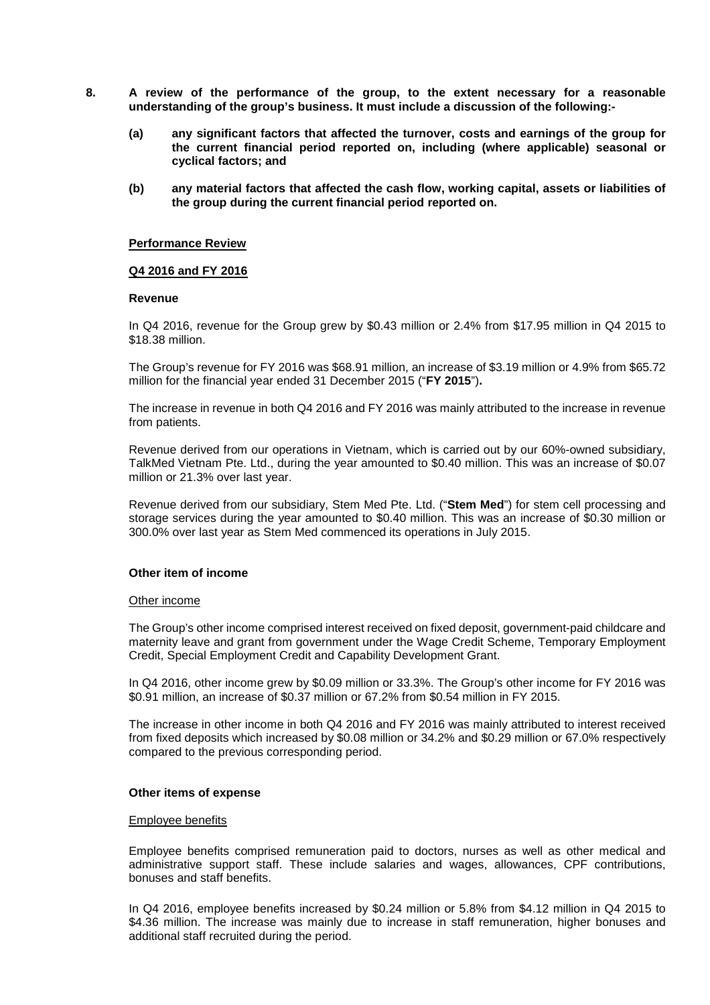- **8. A review of the performance of the group, to the extent necessary for a reasonable understanding of the group's business. It must include a discussion of the following:-**
	- **(a) any significant factors that affected the turnover, costs and earnings of the group for the current financial period reported on, including (where applicable) seasonal or cyclical factors; and**
	- **(b) any material factors that affected the cash flow, working capital, assets or liabilities of the group during the current financial period reported on.**

#### **Performance Review**

#### **Q4 2016 and FY 2016**

#### **Revenue**

In Q4 2016, revenue for the Group grew by \$0.43 million or 2.4% from \$17.95 million in Q4 2015 to \$18.38 million.

The Group's revenue for FY 2016 was \$68.91 million, an increase of \$3.19 million or 4.9% from \$65.72 million for the financial year ended 31 December 2015 ("**FY 2015**")**.**

The increase in revenue in both Q4 2016 and FY 2016 was mainly attributed to the increase in revenue from patients.

Revenue derived from our operations in Vietnam, which is carried out by our 60%-owned subsidiary, TalkMed Vietnam Pte. Ltd., during the year amounted to \$0.40 million. This was an increase of \$0.07 million or 21.3% over last year.

Revenue derived from our subsidiary, Stem Med Pte. Ltd. ("**Stem Med**") for stem cell processing and storage services during the year amounted to \$0.40 million. This was an increase of \$0.30 million or 300.0% over last year as Stem Med commenced its operations in July 2015.

### **Other item of income**

#### Other income

The Group's other income comprised interest received on fixed deposit, government-paid childcare and maternity leave and grant from government under the Wage Credit Scheme, Temporary Employment Credit, Special Employment Credit and Capability Development Grant.

In Q4 2016, other income grew by \$0.09 million or 33.3%. The Group's other income for FY 2016 was \$0.91 million, an increase of \$0.37 million or 67.2% from \$0.54 million in FY 2015.

The increase in other income in both Q4 2016 and FY 2016 was mainly attributed to interest received from fixed deposits which increased by \$0.08 million or 34.2% and \$0.29 million or 67.0% respectively compared to the previous corresponding period.

### **Other items of expense**

#### Employee benefits

Employee benefits comprised remuneration paid to doctors, nurses as well as other medical and administrative support staff. These include salaries and wages, allowances, CPF contributions, bonuses and staff benefits.

In Q4 2016, employee benefits increased by \$0.24 million or 5.8% from \$4.12 million in Q4 2015 to \$4.36 million. The increase was mainly due to increase in staff remuneration, higher bonuses and additional staff recruited during the period.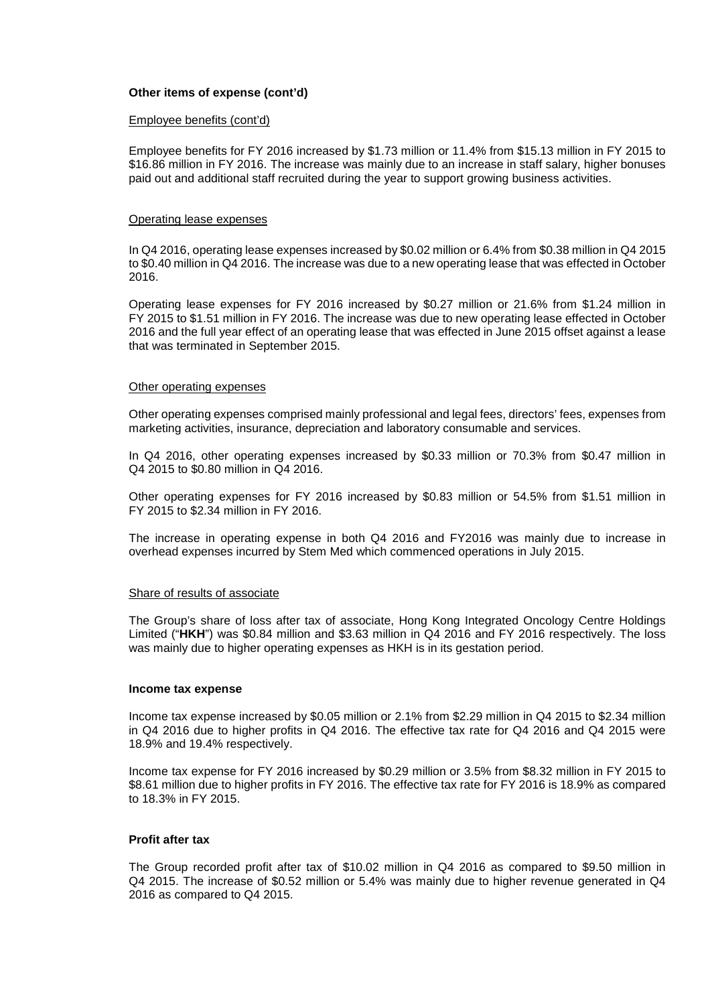# **Other items of expense (cont'd)**

#### Employee benefits (cont'd)

Employee benefits for FY 2016 increased by \$1.73 million or 11.4% from \$15.13 million in FY 2015 to \$16.86 million in FY 2016. The increase was mainly due to an increase in staff salary, higher bonuses paid out and additional staff recruited during the year to support growing business activities.

#### Operating lease expenses

In Q4 2016, operating lease expenses increased by \$0.02 million or 6.4% from \$0.38 million in Q4 2015 to \$0.40 million in Q4 2016. The increase was due to a new operating lease that was effected in October 2016.

Operating lease expenses for FY 2016 increased by \$0.27 million or 21.6% from \$1.24 million in FY 2015 to \$1.51 million in FY 2016. The increase was due to new operating lease effected in October 2016 and the full year effect of an operating lease that was effected in June 2015 offset against a lease that was terminated in September 2015.

#### Other operating expenses

Other operating expenses comprised mainly professional and legal fees, directors' fees, expenses from marketing activities, insurance, depreciation and laboratory consumable and services.

In Q4 2016, other operating expenses increased by \$0.33 million or 70.3% from \$0.47 million in Q4 2015 to \$0.80 million in Q4 2016.

Other operating expenses for FY 2016 increased by \$0.83 million or 54.5% from \$1.51 million in FY 2015 to \$2.34 million in FY 2016.

The increase in operating expense in both Q4 2016 and FY2016 was mainly due to increase in overhead expenses incurred by Stem Med which commenced operations in July 2015.

#### Share of results of associate

The Group's share of loss after tax of associate, Hong Kong Integrated Oncology Centre Holdings Limited ("**HKH**") was \$0.84 million and \$3.63 million in Q4 2016 and FY 2016 respectively. The loss was mainly due to higher operating expenses as HKH is in its gestation period.

#### **Income tax expense**

Income tax expense increased by \$0.05 million or 2.1% from \$2.29 million in Q4 2015 to \$2.34 million in Q4 2016 due to higher profits in Q4 2016. The effective tax rate for Q4 2016 and Q4 2015 were 18.9% and 19.4% respectively.

Income tax expense for FY 2016 increased by \$0.29 million or 3.5% from \$8.32 million in FY 2015 to \$8.61 million due to higher profits in FY 2016. The effective tax rate for FY 2016 is 18.9% as compared to 18.3% in FY 2015.

### **Profit after tax**

The Group recorded profit after tax of \$10.02 million in Q4 2016 as compared to \$9.50 million in Q4 2015. The increase of \$0.52 million or 5.4% was mainly due to higher revenue generated in Q4 2016 as compared to Q4 2015.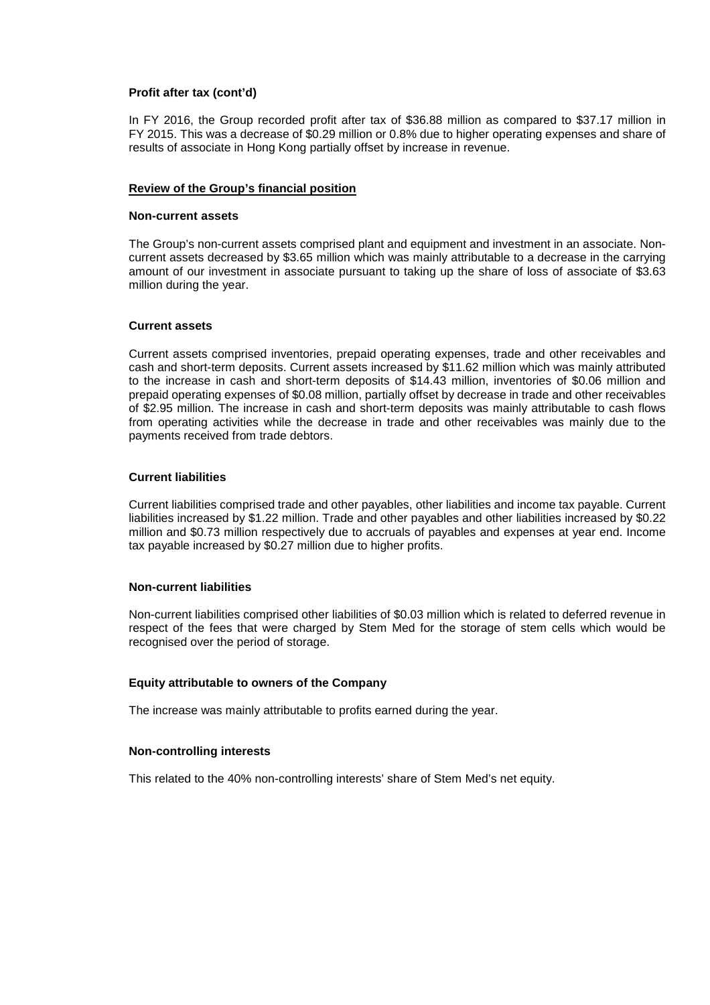### **Profit after tax (cont'd)**

In FY 2016, the Group recorded profit after tax of \$36.88 million as compared to \$37.17 million in FY 2015. This was a decrease of \$0.29 million or 0.8% due to higher operating expenses and share of results of associate in Hong Kong partially offset by increase in revenue.

## **Review of the Group's financial position**

#### **Non-current assets**

The Group's non-current assets comprised plant and equipment and investment in an associate. Noncurrent assets decreased by \$3.65 million which was mainly attributable to a decrease in the carrying amount of our investment in associate pursuant to taking up the share of loss of associate of \$3.63 million during the year.

### **Current assets**

Current assets comprised inventories, prepaid operating expenses, trade and other receivables and cash and short-term deposits. Current assets increased by \$11.62 million which was mainly attributed to the increase in cash and short-term deposits of \$14.43 million, inventories of \$0.06 million and prepaid operating expenses of \$0.08 million, partially offset by decrease in trade and other receivables of \$2.95 million. The increase in cash and short-term deposits was mainly attributable to cash flows from operating activities while the decrease in trade and other receivables was mainly due to the payments received from trade debtors.

### **Current liabilities**

Current liabilities comprised trade and other payables, other liabilities and income tax payable. Current liabilities increased by \$1.22 million. Trade and other payables and other liabilities increased by \$0.22 million and \$0.73 million respectively due to accruals of payables and expenses at year end. Income tax payable increased by \$0.27 million due to higher profits.

### **Non-current liabilities**

Non-current liabilities comprised other liabilities of \$0.03 million which is related to deferred revenue in respect of the fees that were charged by Stem Med for the storage of stem cells which would be recognised over the period of storage.

### **Equity attributable to owners of the Company**

The increase was mainly attributable to profits earned during the year.

#### **Non-controlling interests**

This related to the 40% non-controlling interests' share of Stem Med's net equity.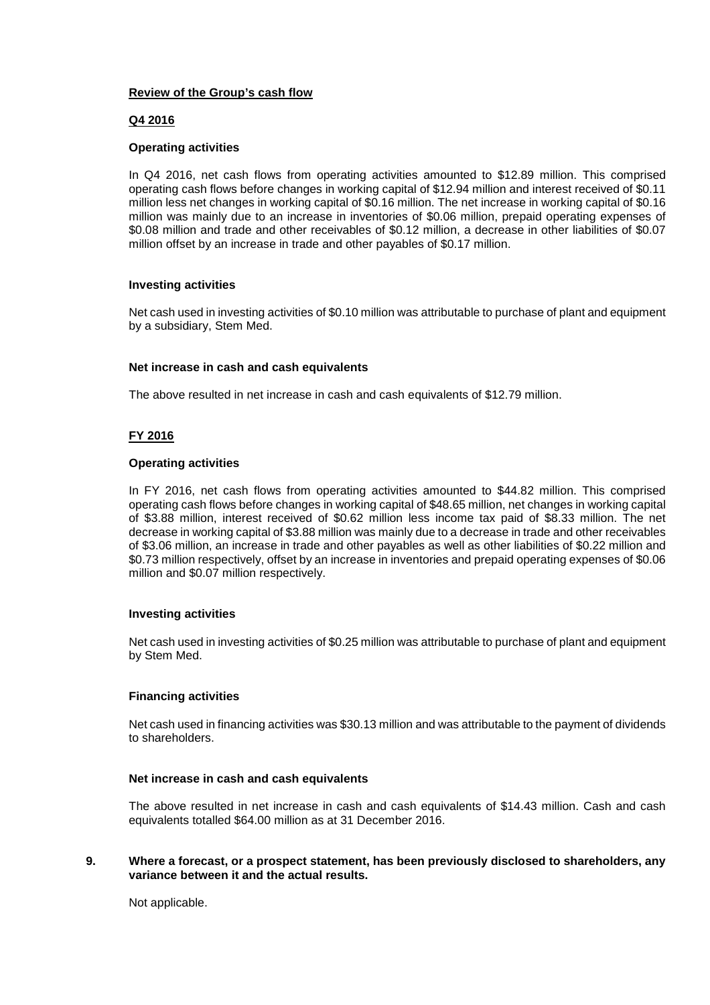# **Review of the Group's cash flow**

# **Q4 2016**

### **Operating activities**

In Q4 2016, net cash flows from operating activities amounted to \$12.89 million. This comprised operating cash flows before changes in working capital of \$12.94 million and interest received of \$0.11 million less net changes in working capital of \$0.16 million. The net increase in working capital of \$0.16 million was mainly due to an increase in inventories of \$0.06 million, prepaid operating expenses of \$0.08 million and trade and other receivables of \$0.12 million, a decrease in other liabilities of \$0.07 million offset by an increase in trade and other payables of \$0.17 million.

## **Investing activities**

Net cash used in investing activities of \$0.10 million was attributable to purchase of plant and equipment by a subsidiary, Stem Med.

### **Net increase in cash and cash equivalents**

The above resulted in net increase in cash and cash equivalents of \$12.79 million.

# **FY 2016**

### **Operating activities**

In FY 2016, net cash flows from operating activities amounted to \$44.82 million. This comprised operating cash flows before changes in working capital of \$48.65 million, net changes in working capital of \$3.88 million, interest received of \$0.62 million less income tax paid of \$8.33 million. The net decrease in working capital of \$3.88 million was mainly due to a decrease in trade and other receivables of \$3.06 million, an increase in trade and other payables as well as other liabilities of \$0.22 million and \$0.73 million respectively, offset by an increase in inventories and prepaid operating expenses of \$0.06 million and \$0.07 million respectively.

### **Investing activities**

Net cash used in investing activities of \$0.25 million was attributable to purchase of plant and equipment by Stem Med.

### **Financing activities**

Net cash used in financing activities was \$30.13 million and was attributable to the payment of dividends to shareholders.

### **Net increase in cash and cash equivalents**

The above resulted in net increase in cash and cash equivalents of \$14.43 million. Cash and cash equivalents totalled \$64.00 million as at 31 December 2016.

### **9. Where a forecast, or a prospect statement, has been previously disclosed to shareholders, any variance between it and the actual results.**

Not applicable.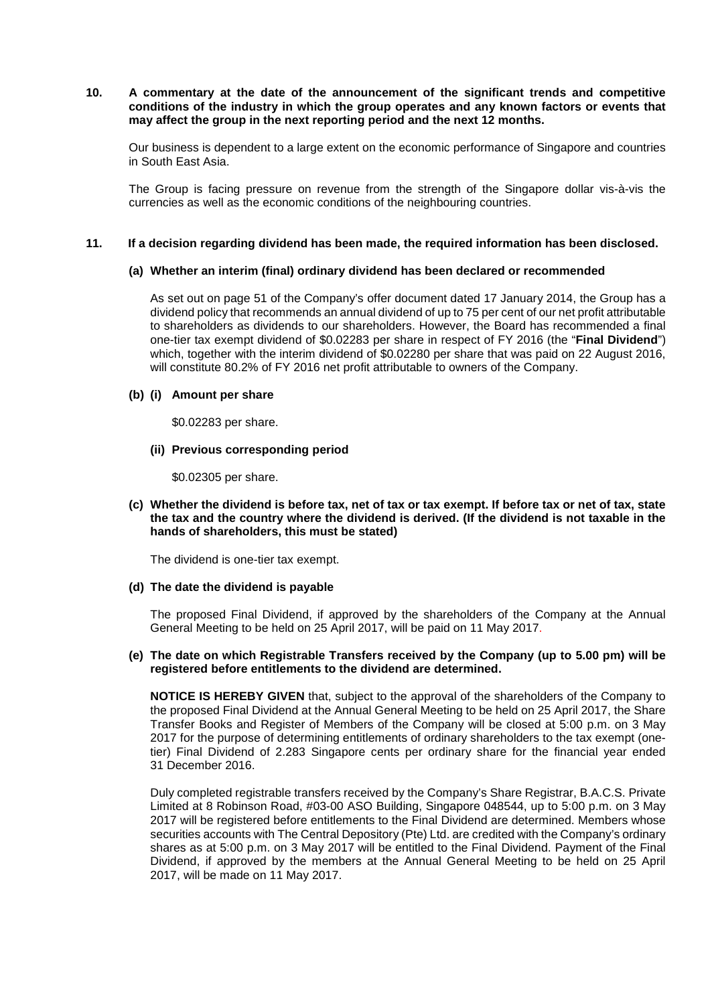## **10. A commentary at the date of the announcement of the significant trends and competitive conditions of the industry in which the group operates and any known factors or events that may affect the group in the next reporting period and the next 12 months.**

Our business is dependent to a large extent on the economic performance of Singapore and countries in South East Asia.

The Group is facing pressure on revenue from the strength of the Singapore dollar vis-à-vis the currencies as well as the economic conditions of the neighbouring countries.

### **11. If a decision regarding dividend has been made, the required information has been disclosed.**

### **(a) Whether an interim (final) ordinary dividend has been declared or recommended**

As set out on page 51 of the Company's offer document dated 17 January 2014, the Group has a dividend policy that recommends an annual dividend of up to 75 per cent of our net profit attributable to shareholders as dividends to our shareholders. However, the Board has recommended a final one-tier tax exempt dividend of \$0.02283 per share in respect of FY 2016 (the "**Final Dividend**") which, together with the interim dividend of \$0.02280 per share that was paid on 22 August 2016, will constitute 80.2% of FY 2016 net profit attributable to owners of the Company.

### **(b) (i) Amount per share**

\$0.02283 per share.

### **(ii) Previous corresponding period**

\$0.02305 per share.

**(c) Whether the dividend is before tax, net of tax or tax exempt. If before tax or net of tax, state the tax and the country where the dividend is derived. (If the dividend is not taxable in the hands of shareholders, this must be stated)**

The dividend is one-tier tax exempt.

### **(d) The date the dividend is payable**

The proposed Final Dividend, if approved by the shareholders of the Company at the Annual General Meeting to be held on 25 April 2017, will be paid on 11 May 2017.

## **(e) The date on which Registrable Transfers received by the Company (up to 5.00 pm) will be registered before entitlements to the dividend are determined.**

**NOTICE IS HEREBY GIVEN** that, subject to the approval of the shareholders of the Company to the proposed Final Dividend at the Annual General Meeting to be held on 25 April 2017, the Share Transfer Books and Register of Members of the Company will be closed at 5:00 p.m. on 3 May 2017 for the purpose of determining entitlements of ordinary shareholders to the tax exempt (onetier) Final Dividend of 2.283 Singapore cents per ordinary share for the financial year ended 31 December 2016.

Duly completed registrable transfers received by the Company's Share Registrar, B.A.C.S. Private Limited at 8 Robinson Road, #03-00 ASO Building, Singapore 048544, up to 5:00 p.m. on 3 May 2017 will be registered before entitlements to the Final Dividend are determined. Members whose securities accounts with The Central Depository (Pte) Ltd. are credited with the Company's ordinary shares as at 5:00 p.m. on 3 May 2017 will be entitled to the Final Dividend. Payment of the Final Dividend, if approved by the members at the Annual General Meeting to be held on 25 April 2017, will be made on 11 May 2017.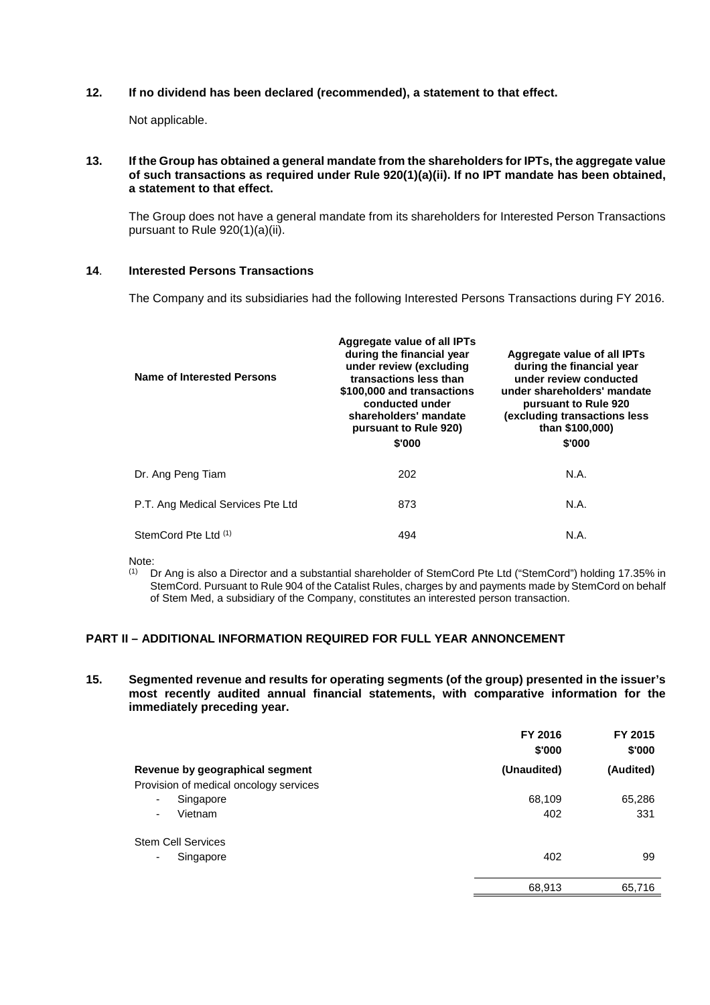# **12. If no dividend has been declared (recommended), a statement to that effect.**

Not applicable.

## **13. If the Group has obtained a general mandate from the shareholders for IPTs, the aggregate value of such transactions as required under Rule 920(1)(a)(ii). If no IPT mandate has been obtained, a statement to that effect.**

The Group does not have a general mandate from its shareholders for Interested Person Transactions pursuant to Rule 920(1)(a)(ii).

# **14**. **Interested Persons Transactions**

The Company and its subsidiaries had the following Interested Persons Transactions during FY 2016.

| <b>Name of Interested Persons</b> | Aggregate value of all IPTs<br>during the financial year<br>under review (excluding<br>transactions less than<br>\$100,000 and transactions<br>conducted under<br>shareholders' mandate<br>pursuant to Rule 920)<br>\$'000 | Aggregate value of all IPTs<br>during the financial year<br>under review conducted<br>under shareholders' mandate<br>pursuant to Rule 920<br>(excluding transactions less)<br>than \$100,000)<br>\$'000 |
|-----------------------------------|----------------------------------------------------------------------------------------------------------------------------------------------------------------------------------------------------------------------------|---------------------------------------------------------------------------------------------------------------------------------------------------------------------------------------------------------|
| Dr. Ang Peng Tiam                 | 202                                                                                                                                                                                                                        | N.A.                                                                                                                                                                                                    |
| P.T. Ang Medical Services Pte Ltd | 873                                                                                                                                                                                                                        | N.A.                                                                                                                                                                                                    |
| StemCord Pte Ltd <sup>(1)</sup>   | 494                                                                                                                                                                                                                        | N.A.                                                                                                                                                                                                    |

Note:<br> $\frac{(1)}{(1)}$ 

(1) Dr Ang is also a Director and a substantial shareholder of StemCord Pte Ltd ("StemCord") holding 17.35% in StemCord. Pursuant to Rule 904 of the Catalist Rules, charges by and payments made by StemCord on behalf of Stem Med, a subsidiary of the Company, constitutes an interested person transaction.

# **PART II – ADDITIONAL INFORMATION REQUIRED FOR FULL YEAR ANNONCEMENT**

**15. Segmented revenue and results for operating segments (of the group) presented in the issuer's most recently audited annual financial statements, with comparative information for the immediately preceding year.**

|                                        | FY 2016<br>\$'000 | FY 2015<br>\$'000 |
|----------------------------------------|-------------------|-------------------|
| Revenue by geographical segment        | (Unaudited)       | (Audited)         |
| Provision of medical oncology services |                   |                   |
| Singapore<br>٠                         | 68,109            | 65,286            |
| Vietnam<br>۰                           | 402               | 331               |
| <b>Stem Cell Services</b>              |                   |                   |
| Singapore<br>۰                         | 402               | 99                |
|                                        | 68,913            | 65,716            |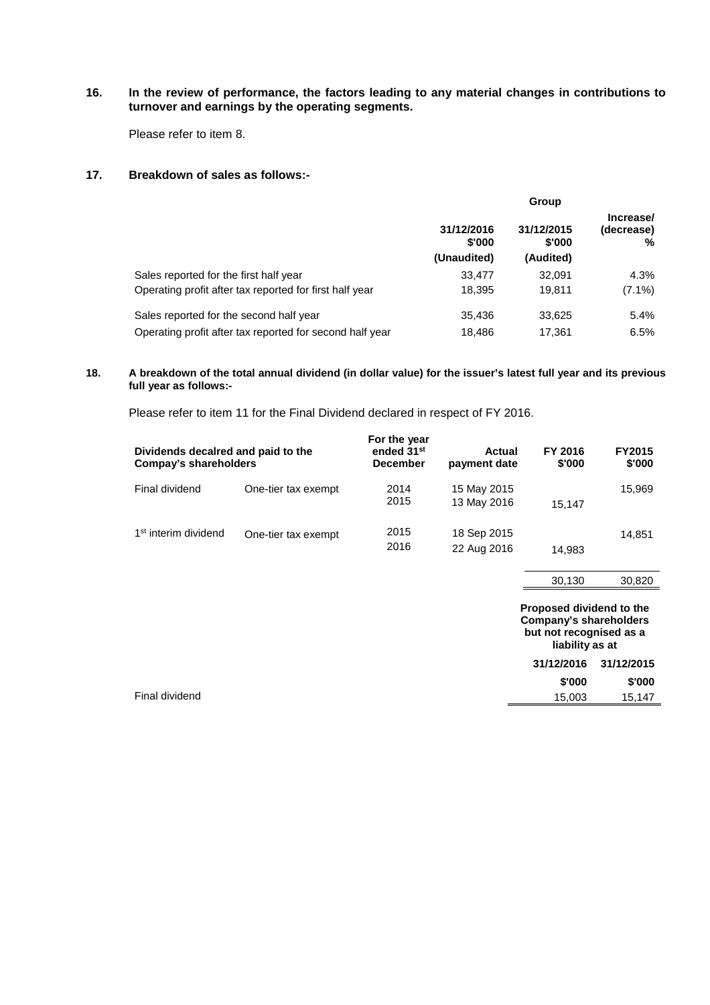# **16. In the review of performance, the factors leading to any material changes in contributions to turnover and earnings by the operating segments.**

Please refer to item 8.

### **17. Breakdown of sales as follows:-**

|                                                          | Group                               |                                   |                              |
|----------------------------------------------------------|-------------------------------------|-----------------------------------|------------------------------|
|                                                          | 31/12/2016<br>\$'000<br>(Unaudited) | 31/12/2015<br>\$'000<br>(Audited) | Increase/<br>(decrease)<br>℅ |
| Sales reported for the first half year                   | 33.477                              | 32.091                            | 4.3%                         |
| Operating profit after tax reported for first half year  | 18.395                              | 19,811                            | $(7.1\%)$                    |
| Sales reported for the second half year                  | 35.436                              | 33,625                            | 5.4%                         |
| Operating profit after tax reported for second half year | 18.486                              | 17,361                            | 6.5%                         |

#### **18. A breakdown of the total annual dividend (in dollar value) for the issuer's latest full year and its previous full year as follows:-**

Please refer to item 11 for the Final Dividend declared in respect of FY 2016.

| Dividends decalred and paid to the<br><b>Compay's shareholders</b> |                     | For the year<br>ended 31 <sup>st</sup><br><b>December</b> | Actual<br>payment date     | FY 2016<br>\$'000 | <b>FY2015</b><br>\$'000 |
|--------------------------------------------------------------------|---------------------|-----------------------------------------------------------|----------------------------|-------------------|-------------------------|
| Final dividend                                                     | One-tier tax exempt | 2014<br>2015                                              | 15 May 2015<br>13 May 2016 | 15.147            | 15.969                  |
| 1 <sup>st</sup> interim dividend                                   | One-tier tax exempt | 2015<br>2016                                              | 18 Sep 2015<br>22 Aug 2016 | 14.983            | 14,851                  |

|                | 30,130     | 30,820                                                                                                  |  |
|----------------|------------|---------------------------------------------------------------------------------------------------------|--|
|                |            | Proposed dividend to the<br><b>Company's shareholders</b><br>but not recognised as a<br>liability as at |  |
|                | 31/12/2016 | 31/12/2015                                                                                              |  |
|                | \$'000     | \$'000                                                                                                  |  |
| Final dividend | 15,003     | 15,147                                                                                                  |  |